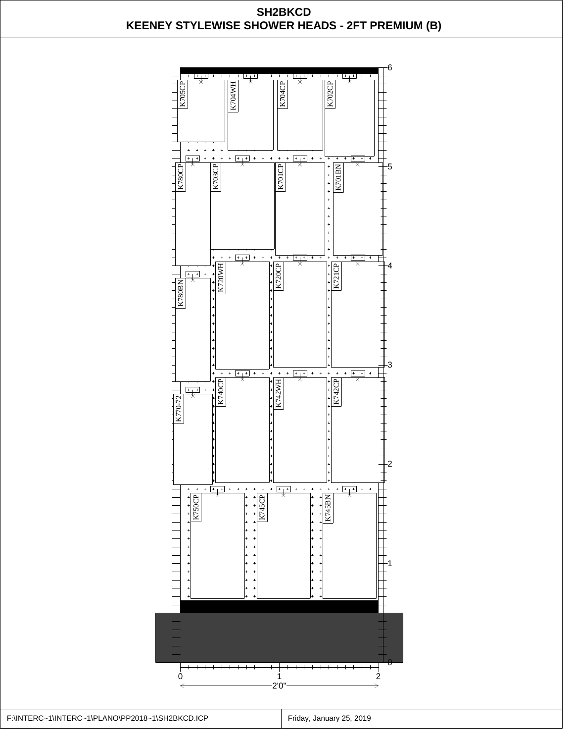

F:\INTERC~1\INTERC~1\PLANO\PP2018~1\SH2BKCD.ICP | Friday, January 25, 2019